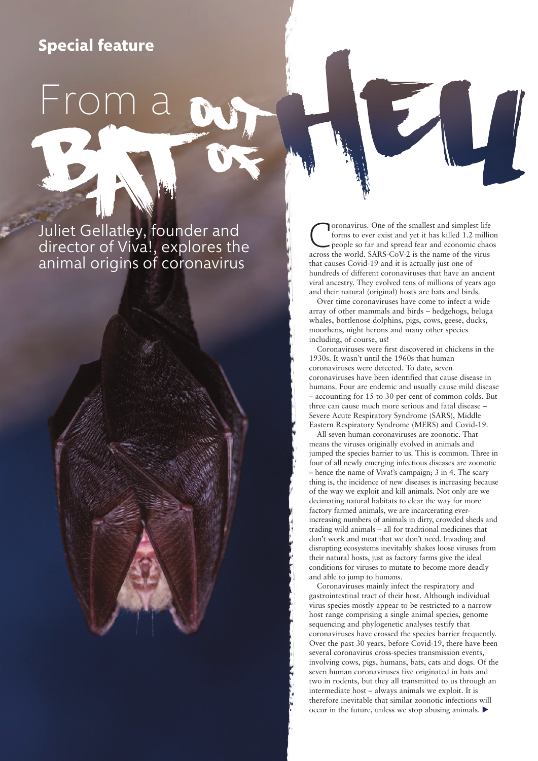## **Special feature**

From a

# Juliet Gellatley, founder and director of Viva!, explores the animal origins of coronavirus

**Coronavirus.** One of the smallest and simplest life<br>forms to ever exist and yet it has killed 1.2 million<br>people so far and spread fear and economic chaos<br>across the world SARS-CoV-2 is the name of the virus forms to ever exist and yet it has killed 1.2 million across the world. SARS-CoV-2 is the name of the virus that causes Covid-19 and it is actually just one of hundreds of different coronaviruses that have an ancient viral ancestry. They evolved tens of millions of years ago and their natural (original) hosts are bats and birds.

Over time coronaviruses have come to infect a wide array of other mammals and birds – hedgehogs, beluga whales, bottlenose dolphins, pigs, cows, geese, ducks, moorhens, night herons and many other species including, of course, us!

Coronaviruses were first discovered in chickens in the 1930s. It wasn't until the 1960s that human coronaviruses were detected. To date, seven coronaviruses have been identified that cause disease in humans. Four are endemic and usually cause mild disease – accounting for 15 to 30 per cent of common colds. But three can cause much more serious and fatal disease – Severe Acute Respiratory Syndrome (SARS), Middle Eastern Respiratory Syndrome (MERS) and Covid-19.

All seven human coronaviruses are zoonotic. That means the viruses originally evolved in animals and jumped the species barrier to us. This is common. Three in four of all newly emerging infectious diseases are zoonotic – hence the name of Viva!'s campaign; 3 in 4. The scary thing is, the incidence of new diseases is increasing because of the way we exploit and kill animals. Not only are we decimating natural habitats to clear the way for more factory farmed animals, we are incarcerating everincreasing numbers of animals in dirty, crowded sheds and trading wild animals – all for traditional medicines that don't work and meat that we don't need. Invading and disrupting ecosystems inevitably shakes loose viruses from their natural hosts, just as factory farms give the ideal conditions for viruses to mutate to become more deadly and able to jump to humans.

Coronaviruses mainly infect the respiratory and gastrointestinal tract of their host. Although individual virus species mostly appear to be restricted to a narrow host range comprising a single animal species, genome sequencing and phylogenetic analyses testify that coronaviruses have crossed the species barrier frequently. Over the past 30 years, before Covid-19, there have been several coronavirus cross-species transmission events, involving cows, pigs, humans, bats, cats and dogs. Of the seven human coronaviruses five originated in bats and two in rodents, but they all transmitted to us through an intermediate host – always animals we exploit. It is therefore inevitable that similar zoonotic infections will occur in the future, unless we stop abusing animals.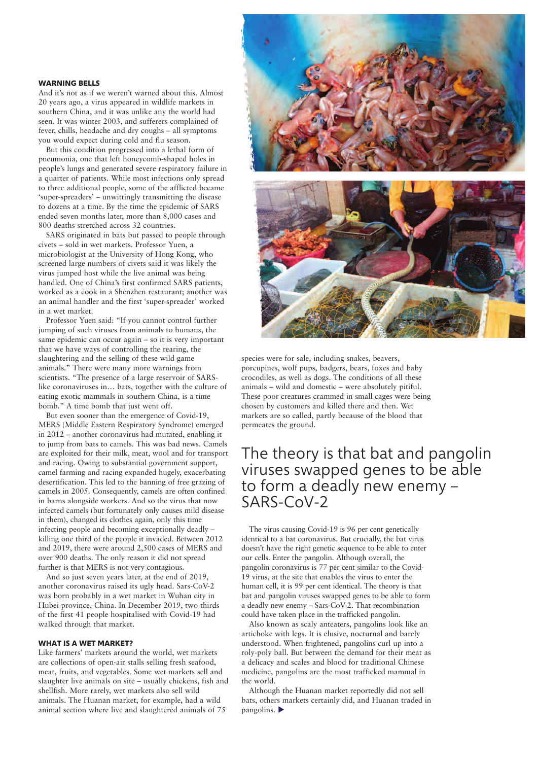#### **WARNING BELLS**

And it's not as if we weren't warned about this. Almost 20 years ago, a virus appeared in wildlife markets in southern China, and it was unlike any the world had seen. It was winter 2003, and sufferers complained of fever, chills, headache and dry coughs – all symptoms you would expect during cold and flu season.

But this condition progressed into a lethal form of pneumonia, one that left honeycomb-shaped holes in people's lungs and generated severe respiratory failure in a quarter of patients. While most infections only spread to three additional people, some of the afflicted became 'super-spreaders' – unwittingly transmitting the disease to dozens at a time. By the time the epidemic of SARS ended seven months later, more than 8,000 cases and 800 deaths stretched across 32 countries.

SARS originated in bats but passed to people through civets – sold in wet markets. Professor Yuen, a microbiologist at the University of Hong Kong, who screened large numbers of civets said it was likely the virus jumped host while the live animal was being handled. One of China's first confirmed SARS patients, worked as a cook in a Shenzhen restaurant; another was an animal handler and the first 'super-spreader' worked in a wet market.

Professor Yuen said: "If you cannot control further jumping of such viruses from animals to humans, the same epidemic can occur again – so it is very important that we have ways of controlling the rearing, the slaughtering and the selling of these wild game animals." There were many more warnings from scientists. "The presence of a large reservoir of SARSlike coronaviruses in… bats, together with the culture of eating exotic mammals in southern China, is a time bomb." A time bomb that just went off.

But even sooner than the emergence of Covid-19, MERS (Middle Eastern Respiratory Syndrome) emerged in 2012 – another coronavirus had mutated, enabling it to jump from bats to camels. This was bad news. Camels are exploited for their milk, meat, wool and for transport and racing. Owing to substantial government support, camel farming and racing expanded hugely, exacerbating desertification. This led to the banning of free grazing of camels in 2005. Consequently, camels are often confined in barns alongside workers. And so the virus that now infected camels (but fortunately only causes mild disease in them), changed its clothes again, only this time infecting people and becoming exceptionally deadly – killing one third of the people it invaded. Between 2012 and 2019, there were around 2,500 cases of MERS and over 900 deaths. The only reason it did not spread further is that MERS is not very contagious.

And so just seven years later, at the end of 2019, another coronavirus raised its ugly head. Sars-CoV-2 was born probably in a wet market in Wuhan city in Hubei province, China. In December 2019, two thirds of the first 41 people hospitalised with Covid-19 had walked through that market.

#### **WHAT IS A WET MARKET?**

Like farmers' markets around the world, wet markets are collections of open-air stalls selling fresh seafood, meat, fruits, and vegetables. Some wet markets sell and slaughter live animals on site – usually chickens, fish and shellfish. More rarely, wet markets also sell wild animals. The Huanan market, for example, had a wild animal section where live and slaughtered animals of 75



species were for sale, including snakes, beavers, porcupines, wolf pups, badgers, bears, foxes and baby crocodiles, as well as dogs. The conditions of all these animals – wild and domestic – were absolutely pitiful. These poor creatures crammed in small cages were being chosen by customers and killed there and then. Wet markets are so called, partly because of the blood that permeates the ground.

## The theory is that bat and pangolin viruses swapped genes to be able to form a deadly new enemy – SARS-CoV-2

The virus causing Covid-19 is 96 per cent genetically identical to a bat coronavirus. But crucially, the bat virus doesn't have the right genetic sequence to be able to enter our cells. Enter the pangolin. Although overall, the pangolin coronavirus is 77 per cent similar to the Covid-19 virus, at the site that enables the virus to enter the human cell, it is 99 per cent identical. The theory is that bat and pangolin viruses swapped genes to be able to form a deadly new enemy – Sars-CoV-2. That recombination could have taken place in the trafficked pangolin.

Also known as scaly anteaters, pangolins look like an artichoke with legs. It is elusive, nocturnal and barely understood. When frightened, pangolins curl up into a roly-poly ball. But between the demand for their meat as a delicacy and scales and blood for traditional Chinese medicine, pangolins are the most trafficked mammal in the world.

Although the Huanan market reportedly did not sell bats, others markets certainly did, and Huanan traded in pangolins.